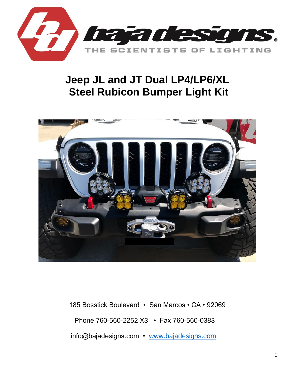

# **Jeep JL and JT Dual LP4/LP6/XL Steel Rubicon Bumper Light Kit**



185 Bosstick Boulevard • San Marcos • CA • 92069 Phone 760-560-2252 X3 • Fax 760-560-0383 info@bajadesigns.com • [www.bajadesigns.com](http://www.bajadesigns.com/)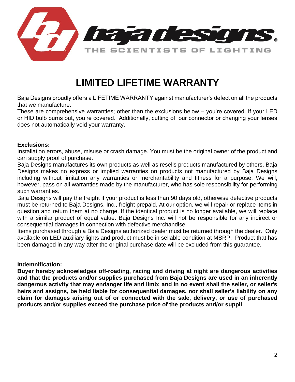

# **LIMITED LIFETIME WARRANTY**

Baja Designs proudly offers a LIFETIME WARRANTY against manufacturer's defect on all the products that we manufacture.

These are comprehensive warranties; other than the exclusions below – you're covered. If your LED or HID bulb burns out, you're covered. Additionally, cutting off our connector or changing your lenses does not automatically void your warranty.

# **Exclusions:**

Installation errors, abuse, misuse or crash damage. You must be the original owner of the product and can supply proof of purchase.

Baja Designs manufactures its own products as well as resells products manufactured by others. Baja Designs makes no express or implied warranties on products not manufactured by Baja Designs including without limitation any warranties or merchantability and fitness for a purpose. We will, however, pass on all warranties made by the manufacturer, who has sole responsibility for performing such warranties.

Baja Designs will pay the freight if your product is less than 90 days old, otherwise defective products must be returned to Baja Designs, Inc., freight prepaid. At our option, we will repair or replace items in question and return them at no charge. If the identical product is no longer available, we will replace with a similar product of equal value. Baja Designs Inc. will not be responsible for any indirect or consequential damages in connection with defective merchandise.

Items purchased through a Baja Designs authorized dealer must be returned through the dealer. Only available on LED auxiliary lights and product must be in sellable condition at MSRP. Product that has been damaged in any way after the original purchase date will be excluded from this guarantee.

# **Indemnification:**

**Buyer hereby acknowledges off-roading, racing and driving at night are dangerous activities and that the products and/or supplies purchased from Baja Designs are used in an inherently dangerous activity that may endanger life and limb; and in no event shall the seller, or seller's heirs and assigns, be held liable for consequential damages, nor shall seller's liability on any claim for damages arising out of or connected with the sale, delivery, or use of purchased products and/or supplies exceed the purchase price of the products and/or suppli**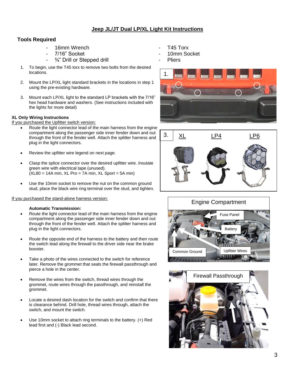# **Jeep JL/JT Dual LP/XL Light Kit Instructions**

## **Tools Required**

- 16mm Wrench **16mm** Wrench **16mm** Wrench **16mm**
- 7/16" Socket
- $\frac{3}{4}$ " Drill or Stepped drill
- 1. To begin, use the T45 torx to remove two bolts from the desired locations.
- 2. Mount the LP/XL light standard brackets in the locations in step 1 using the pre-existing hardware.
- 3. Mount each LP/XL light to the standard LP brackets with the 7/16" hex head hardware and washers. (See instructions included with the lights for more detail)

## **XL Only Wiring Instructions**

If you purchased the Upfitter switch version:

- Route the light connector lead of the main harness from the engine compartment along the passenger side inner fender down and out through the front of the fender well. Attach the splitter harness and plug in the light connectors.
- Review the upfitter wire legend on next page.
- Clasp the splice connector over the desired upfitter wire. Insulate green wire with electrical tape (unused).  $(XL80 = 14A \text{ min}, XL \text{ Pro} = 7A \text{ min}, XL \text{ Sport} = 5A \text{ min})$
- Use the 10mm socket to remove the nut on the common ground stud, place the black wire ring terminal over the stud, and tighten.

## If you purchased the stand-alone harness version:

## **Automatic Transmission:**

- Route the light connector lead of the main harness from the engine compartment along the passenger side inner fender down and out through the front of the fender well. Attach the splitter harness and plug in the light connectors.
- Route the opposite end of the harness to the battery and then route the switch lead along the firewall to the driver side near the brake booster.
- Take a photo of the wires connected to the switch for reference later. Remove the grommet that seals the firewall passthrough and pierce a hole in the center.
- Remove the wires from the switch, thread wires through the grommet, route wires through the passthrough, and reinstall the grommet.
- Locate a desired dash location for the switch and confirm that there is clearance behind. Drill hole, thread wires through, attach the switch, and mount the switch.
- Use 10mm socket to attach ring terminals to the battery. (+) Red lead first and (-) Black lead second.
- 
- 10mm Socket
- **Pliers**







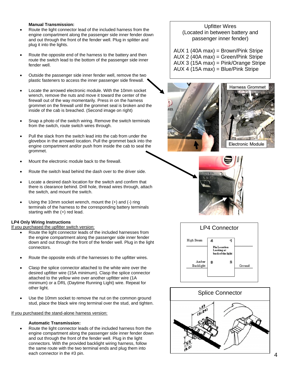### **Manual Transmission:**

- Route the light connector lead of the included harness from the engine compartment along the passenger side inner fender down and out through the front of the fender well. Plug in splitter and plug it into the lights.
- Route the opposite end of the harness to the battery and then route the switch lead to the bottom of the passenger side inner fender well.
- Outside the passenger side inner fender well, remove the two plastic fasteners to access the inner passenger side firewall.
- Locate the arrowed electronic module. With the 10mm socket wrench, remove the nuts and move it toward the center of the firewall out of the way momentarily. Press in on the harness grommet on the firewall until the grommet seal is broken and the inside of the cab is breached. (Second image on right)
- Snap a photo of the switch wiring. Remove the switch terminals from the switch, route switch wires through.
- Pull the slack from the switch lead into the cab from under the glovebox in the arrowed location. Pull the grommet back into the engine compartment and/or push from inside the cab to seal the grommet.
- Mount the electronic module back to the firewall.
- Route the switch lead behind the dash over to the driver side.
- Locate a desired dash location for the switch and confirm that there is clearance behind. Drill hole, thread wires through, attach the switch, and mount the switch.
- Using the 10mm socket wrench, mount the  $(+)$  and  $(-)$  ring terminals of the harness to the corresponding battery terminals starting with the (+) red lead.

#### **LP4 Only Wiring Instructions**

If you purchased the upfitter switch version:

- Route the light connector leads of the included harnesses from the engine compartment along the passenger side inner fender down and out through the front of the fender well. Plug in the light connectors.
- Route the opposite ends of the harnesses to the upfitter wires.
- Clasp the splice connector attached to the white wire over the desired upfitter wire (15A minimum). Clasp the splice connector attached to the yellow wire over another upfitter wire (1A minimum) or a DRL (Daytime Running Light) wire. Repeat for other light.
- Use the 10mm socket to remove the nut on the common ground stud, place the black wire ring terminal over the stud, and tighten.

#### If you purchased the stand-alone harness version:

#### **Automatic Transmission:**

• Route the light connector leads of the included harness from the engine compartment along the passenger side inner fender down and out through the front of the fender well. Plug in the light connectors. With the provided backlight wiring harness, follow the same route with the two terminal ends and plug them into each connector in the #3 pin.

## Upfitter Wires (Located in between battery and passenger inner fender)

AUX 1 (40A max) = Brown/Pink Stripe AUX 2 (40A max) = Green/Pink Stripe AUX 3 (15A max) = Pink/Orange Stripe  $AUX 4 (15A max) = Blue/pink$  Stripe







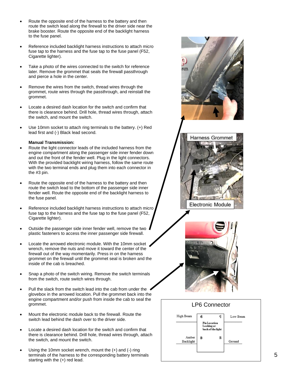- Route the opposite end of the harness to the battery and then route the switch lead along the firewall to the driver side near the brake booster. Route the opposite end of the backlight harness to the fuse panel.
- Reference included backlight harness instructions to attach micro fuse tap to the harness and the fuse tap to the fuse panel (F52, Cigarette lighter).
- Take a photo of the wires connected to the switch for reference later. Remove the grommet that seals the firewall passthrough and pierce a hole in the center.
- Remove the wires from the switch, thread wires through the grommet, route wires through the passthrough, and reinstall the grommet.
- Locate a desired dash location for the switch and confirm that there is clearance behind. Drill hole, thread wires through, attach the switch, and mount the switch.
- Use 10mm socket to attach ring terminals to the battery. (+) Red lead first and (-) Black lead second.

#### **Manual Transmission:**

- Route the light connector leads of the included harness from the engine compartment along the passenger side inner fender down and out the front of the fender well. Plug in the light connectors. With the provided backlight wiring harness, follow the same route with the two terminal ends and plug them into each connector in the #3 pin.
- Route the opposite end of the harness to the battery and then route the switch lead to the bottom of the passenger side inner fender well. Route the opposite end of the backlight harness to the fuse panel.
- Reference included backlight harness instructions to attach micro fuse tap to the harness and the fuse tap to the fuse panel (F52, Cigarette lighter).
- Outside the passenger side inner fender well, remove the two plastic fasteners to access the inner passenger side firewall.
- Locate the arrowed electronic module. With the 10mm socket wrench, remove the nuts and move it toward the center of the firewall out of the way momentarily. Press in on the harness grommet on the firewall until the grommet seal is broken and the inside of the cab is breached.
- Snap a photo of the switch wiring. Remove the switch terminals from the switch, route switch wires through.
- Pull the slack from the switch lead into the cab from under the glovebox in the arrowed location. Pull the grommet back into the engine compartment and/or push from inside the cab to seal the grommet.
- Mount the electronic module back to the firewall. Route the switch lead behind the dash over to the driver side.
- Locate a desired dash location for the switch and confirm that there is clearance behind. Drill hole, thread wires through, attach the switch, and mount the switch.
- Using the 10mm socket wrench, mount the  $(+)$  and  $(-)$  ring terminals of the harness to the corresponding battery terminals starting with the (+) red lead.







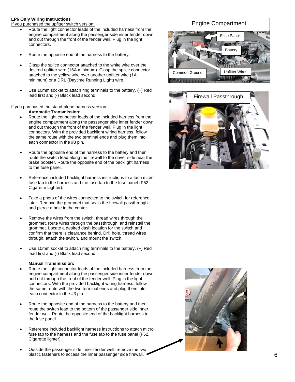#### **LP6 Only Wiring Instructions**

If you purchased the upfitter switch version:

- Route the light connector leads of the included harness from the engine compartment along the passenger side inner fender down and out through the front of the fender well. Plug in the light connectors.
- Route the opposite end of the harness to the battery.
- Clasp the splice connector attached to the white wire over the desired upfitter wire (16A minimum). Clasp the splice connector attached to the yellow wire over another upfitter wire (1A minimum) or a DRL (Daytime Running Light) wire.
- Use 10mm socket to attach ring terminals to the battery. (+) Red lead first and (-) Black lead second.

#### If you purchased the stand-alone harness version:

**Automatic Transmission:**

- Route the light connector leads of the included harness from the engine compartment along the passenger side inner fender down and out through the front of the fender well. Plug in the light connectors. With the provided backlight wiring harness, follow the same route with the two terminal ends and plug them into each connector in the #3 pin.
- Route the opposite end of the harness to the battery and then route the switch lead along the firewall to the driver side near the brake booster. Route the opposite end of the backlight harness to the fuse panel.
- Reference included backlight harness instructions to attach micro fuse tap to the harness and the fuse tap to the fuse panel (F52, Cigarette Lighter).
- Take a photo of the wires connected to the switch for reference later. Remove the grommet that seals the firewall passthrough and pierce a hole in the center.
- Remove the wires from the switch, thread wires through the grommet, route wires through the passthrough, and reinstall the grommet. Locate a desired dash location for the switch and confirm that there is clearance behind. Drill hole, thread wires through, attach the switch, and mount the switch.
- Use 10mm socket to attach ring terminals to the battery. (+) Red lead first and (-) Black lead second.

#### **Manual Transmission:**

- Route the light connector leads of the included harness from the engine compartment along the passenger side inner fender down and out through the front of the fender well. Plug in the light connectors. With the provided backlight wiring harness, follow the same route with the two terminal ends and plug them into each connector in the #3 pin.
- Route the opposite end of the harness to the battery and then route the switch lead to the bottom of the passenger side inner fender well. Route the opposite end of the backlight harness to the fuse panel.
- Reference included backlight harness instructions to attach micro fuse tap to the harness and the fuse tap to the fuse panel (F52, Cigarette lighter).
- Outside the passenger side inner fender well, remove the two plastic fasteners to access the inner passenger side firewall.

# Engine Compartment